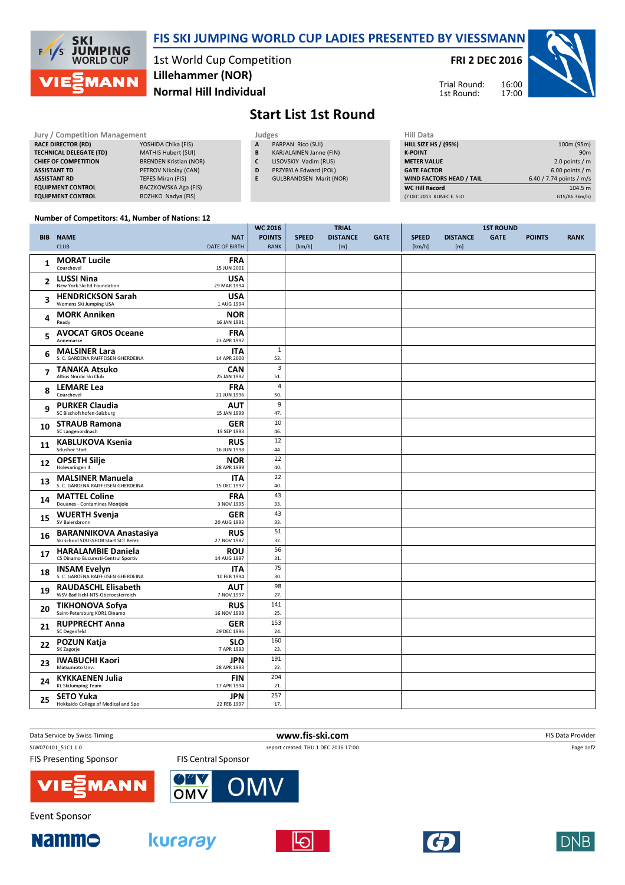

## FIS SKI JUMPING WORLD CUP LADIES PRESENTED BY VIESSMANN

1st World Cup Competition Normal Hill Individual Lillehammer (NOR)

FRI 2 DEC 2016

Trial Round: 1st Round:



## Start List 1st Round

| Jury / Competition Management  |                               |  | Judges |                                | Hill Data           |
|--------------------------------|-------------------------------|--|--------|--------------------------------|---------------------|
| <b>RACE DIRECTOR (RD)</b>      | YOSHIDA Chika (FIS)           |  | A      | PARPAN Rico (SUI)              | HILL SIZE HS        |
| <b>TECHNICAL DELEGATE (TD)</b> | MATHIS Hubert (SUI)           |  | B      | KARJALAINEN Janne (FIN)        | <b>K-POINT</b>      |
| <b>CHIEF OF COMPETITION</b>    | <b>BRENDEN Kristian (NOR)</b> |  |        | LISOVSKIY Vadim (RUS)          | <b>METER VALU</b>   |
| <b>ASSISTANT TD</b>            | PETROV Nikolav (CAN)          |  | D      | PRZYBYLA Edward (POL)          | <b>GATE FACTO</b>   |
| <b>ASSISTANT RD</b>            | <b>TEPES Miran (FIS)</b>      |  |        | <b>GULBRANDSEN Marit (NOR)</b> | <b>WIND FACTO</b>   |
| <b>EQUIPMENT CONTROL</b>       | BACZKOWSKA Aga (FIS)          |  |        |                                | <b>WC Hill Reco</b> |
| <b>EQUIPMENT CONTROL</b>       | BOZHKO Nadya (FIS)            |  |        |                                | (7 DEC 2013 KL      |

| Hill Data                       |                          |
|---------------------------------|--------------------------|
| <b>HILL SIZE HS / (95%)</b>     | 100m (95m)               |
| <b>K-POINT</b>                  | 90 <sub>m</sub>          |
| <b>METER VALUE</b>              | 2.0 points $/m$          |
| <b>GATE FACTOR</b>              | $6.00$ points / m        |
| <b>WIND FACTORS HEAD / TAIL</b> | 6.40 / 7.74 points / m/s |
| <b>WC Hill Record</b>           | 104.5 m                  |
| (7 DEC 2013 KLINEC E. SLO       | G15/86.3km/h)            |

## Number of Competitors: 41, Number of Nations: 12

|                         |                                                                                     |                           | <b>WC 2016</b><br><b>TRIAL</b> |              |                 | <b>1ST ROUND</b> |              |                 |             |               |             |
|-------------------------|-------------------------------------------------------------------------------------|---------------------------|--------------------------------|--------------|-----------------|------------------|--------------|-----------------|-------------|---------------|-------------|
|                         | <b>BIB NAME</b>                                                                     | <b>NAT</b>                | <b>POINTS</b>                  | <b>SPEED</b> | <b>DISTANCE</b> | <b>GATE</b>      | <b>SPEED</b> | <b>DISTANCE</b> | <b>GATE</b> | <b>POINTS</b> | <b>RANK</b> |
|                         | <b>CLUB</b><br><b>DATE OF BIRTH</b>                                                 |                           | <b>RANK</b>                    | [km/h]       | [m]             |                  | [km/h]       | [m]             |             |               |             |
|                         | <b>MORAT Lucile</b>                                                                 | <b>FRA</b>                |                                |              |                 |                  |              |                 |             |               |             |
| 1                       | Courchevel<br>15 JUN 2001                                                           |                           |                                |              |                 |                  |              |                 |             |               |             |
| $\overline{2}$          | <b>LUSSI Nina</b>                                                                   | USA                       |                                |              |                 |                  |              |                 |             |               |             |
|                         | New York Ski Ed Foundation<br>29 MAR 1994                                           |                           |                                |              |                 |                  |              |                 |             |               |             |
| 3                       | <b>HENDRICKSON Sarah</b><br>Womens Ski Jumping USA                                  | <b>USA</b><br>1 AUG 1994  |                                |              |                 |                  |              |                 |             |               |             |
| 4                       | <b>MORK Anniken</b><br>16 JAN 1991<br>Ready                                         | <b>NOR</b>                |                                |              |                 |                  |              |                 |             |               |             |
| 5                       | <b>AVOCAT GROS Oceane</b><br>Annemasse<br>23 APR 1997                               | <b>FRA</b>                |                                |              |                 |                  |              |                 |             |               |             |
| 6                       | <b>MALSINER Lara</b><br>S. C. GARDENA RAIFFEISEN GHERDEINA<br>14 APR 2000           | <b>ITA</b>                | $1\,$<br>53.                   |              |                 |                  |              |                 |             |               |             |
| $\overline{\mathbf{z}}$ | <b>TANAKA Atsuko</b><br>Altius Nordic Ski Club<br>25 JAN 1992                       | <b>CAN</b>                | $\overline{\mathbf{3}}$<br>51. |              |                 |                  |              |                 |             |               |             |
| 8                       | <b>LEMARE Lea</b><br>Courchevel<br>21 JUN 1996                                      | <b>FRA</b>                | 4<br>50.                       |              |                 |                  |              |                 |             |               |             |
| 9                       | <b>PURKER Claudia</b>                                                               | <b>AUT</b>                | 9                              |              |                 |                  |              |                 |             |               |             |
|                         | SC Bischofshofen-Salzburg<br>15 JAN 1999                                            |                           | 47.                            |              |                 |                  |              |                 |             |               |             |
| 10                      | <b>STRAUB Ramona</b>                                                                | <b>GER</b>                | 10                             |              |                 |                  |              |                 |             |               |             |
|                         | SC Langenordnach                                                                    | 19 SEP 1993<br><b>RUS</b> | 46.<br>12                      |              |                 |                  |              |                 |             |               |             |
| 11                      | <b>KABLUKOVA Ksenia</b><br><b>Sdushor Start</b><br>16 JUN 1998                      |                           | 44.                            |              |                 |                  |              |                 |             |               |             |
| 12                      | <b>OPSETH Silje</b>                                                                 | <b>NOR</b>                | 22                             |              |                 |                  |              |                 |             |               |             |
|                         | Holevaringen II<br>28 APR 1999                                                      |                           | 40.                            |              |                 |                  |              |                 |             |               |             |
| 13                      | <b>MALSINER Manuela</b><br>S. C. GARDENA RAIFFEISEN GHERDEINA<br>15 DEC 1997        | <b>ITA</b>                | 22<br>40.                      |              |                 |                  |              |                 |             |               |             |
| 14                      | <b>MATTEL Coline</b><br>Douanes - Contamines Montjoie                               | <b>FRA</b><br>3 NOV 1995  | 43<br>33.                      |              |                 |                  |              |                 |             |               |             |
| 15                      | <b>WUERTH Svenja</b><br>SV Baiersbronn<br>20 AUG 1993                               | <b>GER</b>                | 43<br>33.                      |              |                 |                  |              |                 |             |               |             |
| 16                      | <b>BARANNIKOVA Anastasiya</b><br>Ski school SDUSSHOR Start SCT Berez<br>27 NOV 1987 | <b>RUS</b>                | 51<br>32.                      |              |                 |                  |              |                 |             |               |             |
| 17                      | <b>HARALAMBIE Daniela</b><br>CS Dinamo Bucuresti-Centrul Sportiv<br>14 AUG 1997     | <b>ROU</b>                | 56<br>31.                      |              |                 |                  |              |                 |             |               |             |
| 18                      | <b>INSAM Evelyn</b><br>S. C. GARDENA RAIFFEISEN GHERDEINA<br>10 FEB 1994            | <b>ITA</b>                | 75<br>30.                      |              |                 |                  |              |                 |             |               |             |
| 19                      | <b>RAUDASCHL Elisabeth</b>                                                          | <b>AUT</b>                | 98                             |              |                 |                  |              |                 |             |               |             |
|                         | WSV Bad Ischl-NTS-Oberoesterreich                                                   | 7 NOV 1997                | 27.                            |              |                 |                  |              |                 |             |               |             |
| 20                      | TIKHONOVA Sofya<br>Saint-Petersburg KOR1 Dinamo<br>16 NOV 1998                      | <b>RUS</b>                | 141<br>25.                     |              |                 |                  |              |                 |             |               |             |
|                         | <b>RUPPRECHT Anna</b>                                                               | <b>GER</b>                | 153                            |              |                 |                  |              |                 |             |               |             |
| 21                      | <b>SC Degenfeld</b><br>29 DEC 1996                                                  |                           | 24.                            |              |                 |                  |              |                 |             |               |             |
| 22                      | POZUN Katja<br>SK Zagorje                                                           | <b>SLO</b><br>7 APR 1993  | 160<br>23.                     |              |                 |                  |              |                 |             |               |             |
| 23                      | <b>IWABUCHI Kaori</b><br>Matsumoto Unv.<br>28 APR 1993                              | <b>JPN</b>                | 191<br>22.                     |              |                 |                  |              |                 |             |               |             |
| 24                      | <b>KYKKAENEN Julia</b><br><b>KL SkiJumping Team</b><br>17 APR 1994                  | <b>FIN</b>                | 204<br>21.                     |              |                 |                  |              |                 |             |               |             |
| 25                      | <b>SETO Yuka</b>                                                                    | JPN                       | 257                            |              |                 |                  |              |                 |             |               |             |
|                         | Hokkaido College of Medical and Spo                                                 | 22 FEB 1997               | 17.                            |              |                 |                  |              |                 |             |               |             |

| Data Service by Swiss Timing  | www.fis-ski.com            |                                     |  |
|-------------------------------|----------------------------|-------------------------------------|--|
| SJW070101 51C1 1.0            |                            | report created THU 1 DEC 2016 17:00 |  |
| <b>FIS Presenting Sponsor</b> | <b>FIS Central Sponsor</b> |                                     |  |
| <b>VIE EMANN</b>              | <b>OWY</b><br><b>OMV</b>   |                                     |  |